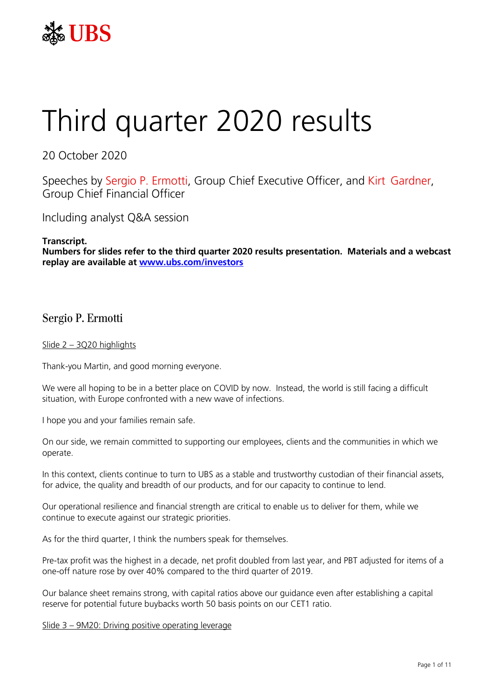

# Third quarter 2020 results

20 October 2020

Speeches by Sergio P. Ermotti, Group Chief Executive Officer, and Kirt Gardner, Group Chief Financial Officer

Including analyst Q&A session

**Transcript. Numbers for slides refer to the third quarter 2020 results presentation. Materials and a webcast replay are available at [www.ubs.com/investors](http://www.ubs.com/investors)**

# Sergio P. Ermotti

# Slide 2 – 3Q20 highlights

Thank-you Martin, and good morning everyone.

We were all hoping to be in a better place on COVID by now. Instead, the world is still facing a difficult situation, with Europe confronted with a new wave of infections.

I hope you and your families remain safe.

On our side, we remain committed to supporting our employees, clients and the communities in which we operate.

In this context, clients continue to turn to UBS as a stable and trustworthy custodian of their financial assets, for advice, the quality and breadth of our products, and for our capacity to continue to lend.

Our operational resilience and financial strength are critical to enable us to deliver for them, while we continue to execute against our strategic priorities.

As for the third quarter, I think the numbers speak for themselves.

Pre-tax profit was the highest in a decade, net profit doubled from last year, and PBT adjusted for items of a one-off nature rose by over 40% compared to the third quarter of 2019.

Our balance sheet remains strong, with capital ratios above our guidance even after establishing a capital reserve for potential future buybacks worth 50 basis points on our CET1 ratio.

Slide 3 – 9M20: Driving positive operating leverage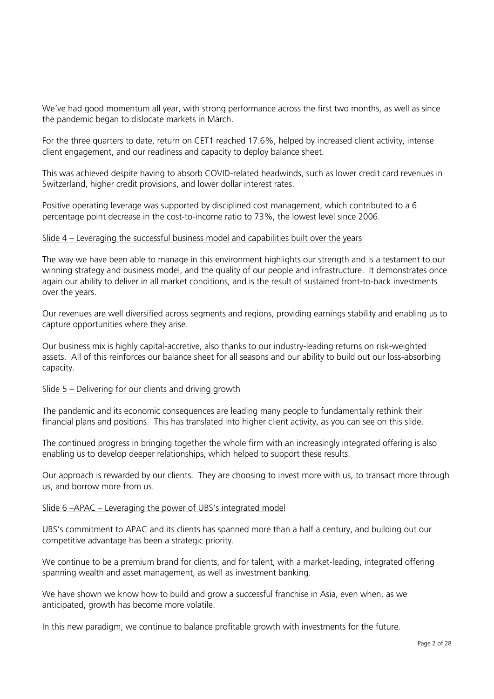We've had good momentum all year, with strong performance across the first two months, as well as since the pandemic began to dislocate markets in March.

For the three quarters to date, return on CET1 reached 17.6%, helped by increased client activity, intense client engagement, and our readiness and capacity to deploy balance sheet.

This was achieved despite having to absorb COVID-related headwinds, such as lower credit card revenues in Switzerland, higher credit provisions, and lower dollar interest rates.

Positive operating leverage was supported by disciplined cost management, which contributed to a 6 percentage point decrease in the cost-to-income ratio to 73%, the lowest level since 2006.

#### Slide  $4 - I$  everaging the successful business model and capabilities built over the years

The way we have been able to manage in this environment highlights our strength and is a testament to our winning strategy and business model, and the quality of our people and infrastructure. It demonstrates once again our ability to deliver in all market conditions, and is the result of sustained front-to-back investments over the years.

Our revenues are well diversified across segments and regions, providing earnings stability and enabling us to capture opportunities where they arise.

Our business mix is highly capital-accretive, also thanks to our industry-leading returns on risk-weighted assets. All of this reinforces our balance sheet for all seasons and our ability to build out our loss-absorbing capacity.

#### Slide 5 – Delivering for our clients and driving growth

The pandemic and its economic consequences are leading many people to fundamentally rethink their financial plans and positions. This has translated into higher client activity, as you can see on this slide.

The continued progress in bringing together the whole firm with an increasingly integrated offering is also enabling us to develop deeper relationships, which helped to support these results.

Our approach is rewarded by our clients. They are choosing to invest more with us, to transact more through us, and borrow more from us.

#### Slide 6 –APAC – Leveraging the power of UBS's integrated model

UBS's commitment to APAC and its clients has spanned more than a half a century, and building out our competitive advantage has been a strategic priority.

We continue to be a premium brand for clients, and for talent, with a market-leading, integrated offering spanning wealth and asset management, as well as investment banking.

We have shown we know how to build and grow a successful franchise in Asia, even when, as we anticipated, growth has become more volatile.

In this new paradigm, we continue to balance profitable growth with investments for the future.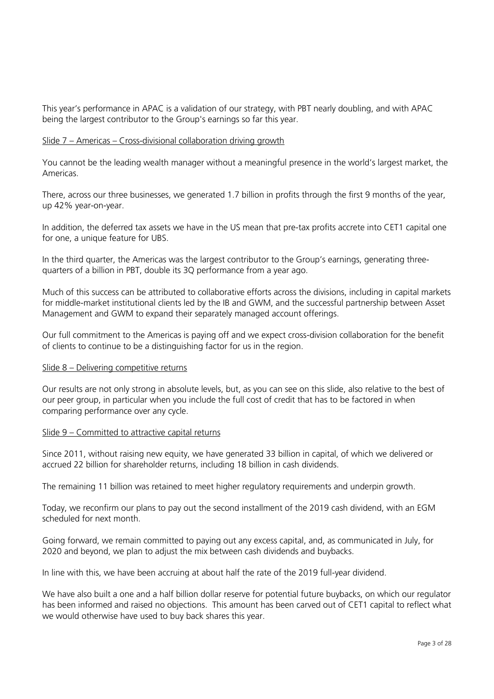This year's performance in APAC is a validation of our strategy, with PBT nearly doubling, and with APAC being the largest contributor to the Group's earnings so far this year.

# Slide 7 – Americas – Cross-divisional collaboration driving growth

You cannot be the leading wealth manager without a meaningful presence in the world's largest market, the Americas.

There, across our three businesses, we generated 1.7 billion in profits through the first 9 months of the year, up 42% year-on-year.

In addition, the deferred tax assets we have in the US mean that pre-tax profits accrete into CET1 capital one for one, a unique feature for UBS.

In the third quarter, the Americas was the largest contributor to the Group's earnings, generating threequarters of a billion in PBT, double its 3Q performance from a year ago.

Much of this success can be attributed to collaborative efforts across the divisions, including in capital markets for middle-market institutional clients led by the IB and GWM, and the successful partnership between Asset Management and GWM to expand their separately managed account offerings.

Our full commitment to the Americas is paying off and we expect cross-division collaboration for the benefit of clients to continue to be a distinguishing factor for us in the region.

#### Slide 8 – Delivering competitive returns

Our results are not only strong in absolute levels, but, as you can see on this slide, also relative to the best of our peer group, in particular when you include the full cost of credit that has to be factored in when comparing performance over any cycle.

# Slide 9 – Committed to attractive capital returns

Since 2011, without raising new equity, we have generated 33 billion in capital, of which we delivered or accrued 22 billion for shareholder returns, including 18 billion in cash dividends.

The remaining 11 billion was retained to meet higher regulatory requirements and underpin growth.

Today, we reconfirm our plans to pay out the second installment of the 2019 cash dividend, with an EGM scheduled for next month.

Going forward, we remain committed to paying out any excess capital, and, as communicated in July, for 2020 and beyond, we plan to adjust the mix between cash dividends and buybacks.

In line with this, we have been accruing at about half the rate of the 2019 full-year dividend.

We have also built a one and a half billion dollar reserve for potential future buybacks, on which our regulator has been informed and raised no objections. This amount has been carved out of CET1 capital to reflect what we would otherwise have used to buy back shares this year.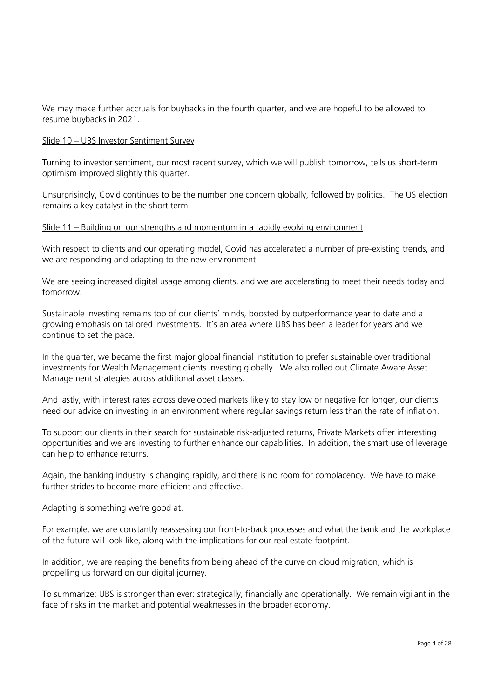We may make further accruals for buybacks in the fourth quarter, and we are hopeful to be allowed to resume buybacks in 2021.

#### Slide 10 – UBS Investor Sentiment Survey

Turning to investor sentiment, our most recent survey, which we will publish tomorrow, tells us short-term optimism improved slightly this quarter.

Unsurprisingly, Covid continues to be the number one concern globally, followed by politics. The US election remains a key catalyst in the short term.

# Slide 11 – Building on our strengths and momentum in a rapidly evolving environment

With respect to clients and our operating model, Covid has accelerated a number of pre-existing trends, and we are responding and adapting to the new environment.

We are seeing increased digital usage among clients, and we are accelerating to meet their needs today and tomorrow.

Sustainable investing remains top of our clients' minds, boosted by outperformance year to date and a growing emphasis on tailored investments. It's an area where UBS has been a leader for years and we continue to set the pace.

In the quarter, we became the first major global financial institution to prefer sustainable over traditional investments for Wealth Management clients investing globally. We also rolled out Climate Aware Asset Management strategies across additional asset classes.

And lastly, with interest rates across developed markets likely to stay low or negative for longer, our clients need our advice on investing in an environment where regular savings return less than the rate of inflation.

To support our clients in their search for sustainable risk-adjusted returns, Private Markets offer interesting opportunities and we are investing to further enhance our capabilities. In addition, the smart use of leverage can help to enhance returns.

Again, the banking industry is changing rapidly, and there is no room for complacency. We have to make further strides to become more efficient and effective.

Adapting is something we're good at.

For example, we are constantly reassessing our front-to-back processes and what the bank and the workplace of the future will look like, along with the implications for our real estate footprint.

In addition, we are reaping the benefits from being ahead of the curve on cloud migration, which is propelling us forward on our digital journey.

To summarize: UBS is stronger than ever: strategically, financially and operationally. We remain vigilant in the face of risks in the market and potential weaknesses in the broader economy.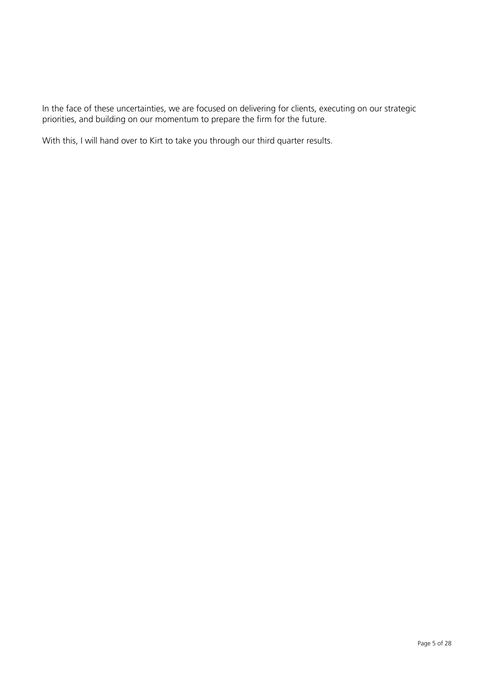In the face of these uncertainties, we are focused on delivering for clients, executing on our strategic priorities, and building on our momentum to prepare the firm for the future.

With this, I will hand over to Kirt to take you through our third quarter results.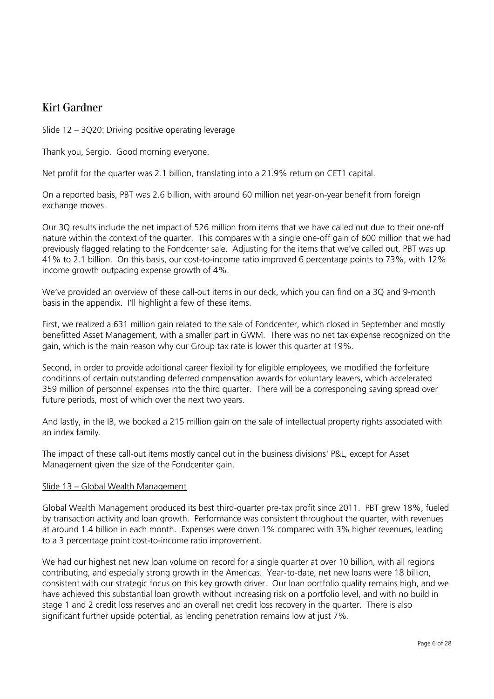# Kirt Gardner

# Slide 12 – 3Q20: Driving positive operating leverage

Thank you, Sergio. Good morning everyone.

Net profit for the quarter was 2.1 billion, translating into a 21.9% return on CET1 capital.

On a reported basis, PBT was 2.6 billion, with around 60 million net year-on-year benefit from foreign exchange moves.

Our 3Q results include the net impact of 526 million from items that we have called out due to their one-off nature within the context of the quarter. This compares with a single one-off gain of 600 million that we had previously flagged relating to the Fondcenter sale. Adjusting for the items that we've called out, PBT was up 41% to 2.1 billion. On this basis, our cost-to-income ratio improved 6 percentage points to 73%, with 12% income growth outpacing expense growth of 4%.

We've provided an overview of these call-out items in our deck, which you can find on a 3Q and 9-month basis in the appendix. I'll highlight a few of these items.

First, we realized a 631 million gain related to the sale of Fondcenter, which closed in September and mostly benefitted Asset Management, with a smaller part in GWM. There was no net tax expense recognized on the gain, which is the main reason why our Group tax rate is lower this quarter at 19%.

Second, in order to provide additional career flexibility for eligible employees, we modified the forfeiture conditions of certain outstanding deferred compensation awards for voluntary leavers, which accelerated 359 million of personnel expenses into the third quarter. There will be a corresponding saving spread over future periods, most of which over the next two years.

And lastly, in the IB, we booked a 215 million gain on the sale of intellectual property rights associated with an index family.

The impact of these call-out items mostly cancel out in the business divisions' P&L, except for Asset Management given the size of the Fondcenter gain.

#### Slide 13 – Global Wealth Management

Global Wealth Management produced its best third-quarter pre-tax profit since 2011. PBT grew 18%, fueled by transaction activity and loan growth. Performance was consistent throughout the quarter, with revenues at around 1.4 billion in each month. Expenses were down 1% compared with 3% higher revenues, leading to a 3 percentage point cost-to-income ratio improvement.

We had our highest net new loan volume on record for a single quarter at over 10 billion, with all regions contributing, and especially strong growth in the Americas. Year-to-date, net new loans were 18 billion, consistent with our strategic focus on this key growth driver. Our loan portfolio quality remains high, and we have achieved this substantial loan growth without increasing risk on a portfolio level, and with no build in stage 1 and 2 credit loss reserves and an overall net credit loss recovery in the quarter. There is also significant further upside potential, as lending penetration remains low at just 7%.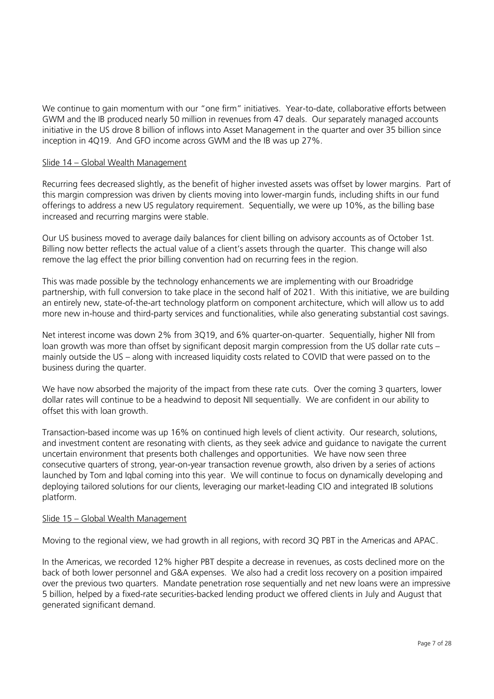We continue to gain momentum with our "one firm" initiatives. Year-to-date, collaborative efforts between GWM and the IB produced nearly 50 million in revenues from 47 deals. Our separately managed accounts initiative in the US drove 8 billion of inflows into Asset Management in the quarter and over 35 billion since inception in 4Q19. And GFO income across GWM and the IB was up 27%.

### Slide 14 – Global Wealth Management

Recurring fees decreased slightly, as the benefit of higher invested assets was offset by lower margins. Part of this margin compression was driven by clients moving into lower-margin funds, including shifts in our fund offerings to address a new US regulatory requirement. Sequentially, we were up 10%, as the billing base increased and recurring margins were stable.

Our US business moved to average daily balances for client billing on advisory accounts as of October 1st. Billing now better reflects the actual value of a client's assets through the quarter. This change will also remove the lag effect the prior billing convention had on recurring fees in the region.

This was made possible by the technology enhancements we are implementing with our Broadridge partnership, with full conversion to take place in the second half of 2021. With this initiative, we are building an entirely new, state-of-the-art technology platform on component architecture, which will allow us to add more new in-house and third-party services and functionalities, while also generating substantial cost savings.

Net interest income was down 2% from 3Q19, and 6% quarter-on-quarter. Sequentially, higher NII from loan growth was more than offset by significant deposit margin compression from the US dollar rate cuts – mainly outside the US – along with increased liquidity costs related to COVID that were passed on to the business during the quarter.

We have now absorbed the majority of the impact from these rate cuts. Over the coming 3 quarters, lower dollar rates will continue to be a headwind to deposit NII sequentially. We are confident in our ability to offset this with loan growth.

Transaction-based income was up 16% on continued high levels of client activity. Our research, solutions, and investment content are resonating with clients, as they seek advice and guidance to navigate the current uncertain environment that presents both challenges and opportunities. We have now seen three consecutive quarters of strong, year-on-year transaction revenue growth, also driven by a series of actions launched by Tom and Iqbal coming into this year. We will continue to focus on dynamically developing and deploying tailored solutions for our clients, leveraging our market-leading CIO and integrated IB solutions platform.

#### Slide 15 – Global Wealth Management

Moving to the regional view, we had growth in all regions, with record 3Q PBT in the Americas and APAC.

In the Americas, we recorded 12% higher PBT despite a decrease in revenues, as costs declined more on the back of both lower personnel and G&A expenses. We also had a credit loss recovery on a position impaired over the previous two quarters. Mandate penetration rose sequentially and net new loans were an impressive 5 billion, helped by a fixed-rate securities-backed lending product we offered clients in July and August that generated significant demand.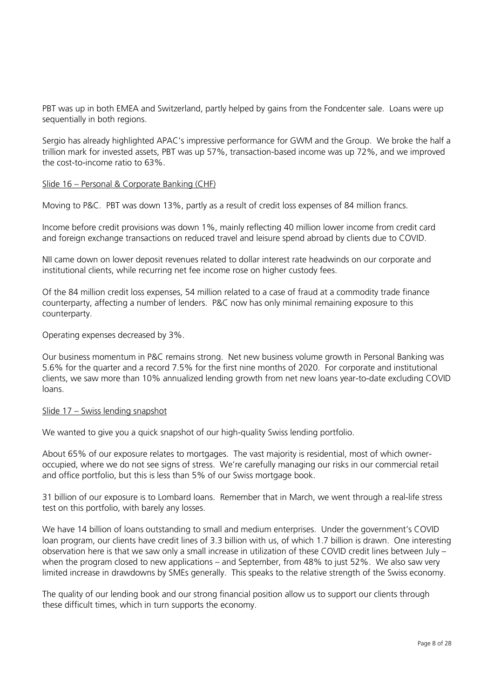PBT was up in both EMEA and Switzerland, partly helped by gains from the Fondcenter sale. Loans were up sequentially in both regions.

Sergio has already highlighted APAC's impressive performance for GWM and the Group. We broke the half a trillion mark for invested assets, PBT was up 57%, transaction-based income was up 72%, and we improved the cost-to-income ratio to 63%.

#### Slide 16 – Personal & Corporate Banking (CHF)

Moving to P&C. PBT was down 13%, partly as a result of credit loss expenses of 84 million francs.

Income before credit provisions was down 1%, mainly reflecting 40 million lower income from credit card and foreign exchange transactions on reduced travel and leisure spend abroad by clients due to COVID.

NII came down on lower deposit revenues related to dollar interest rate headwinds on our corporate and institutional clients, while recurring net fee income rose on higher custody fees.

Of the 84 million credit loss expenses, 54 million related to a case of fraud at a commodity trade finance counterparty, affecting a number of lenders. P&C now has only minimal remaining exposure to this counterparty.

Operating expenses decreased by 3%.

Our business momentum in P&C remains strong. Net new business volume growth in Personal Banking was 5.6% for the quarter and a record 7.5% for the first nine months of 2020. For corporate and institutional clients, we saw more than 10% annualized lending growth from net new loans year-to-date excluding COVID loans.

#### Slide 17 – Swiss lending snapshot

We wanted to give you a quick snapshot of our high-quality Swiss lending portfolio.

About 65% of our exposure relates to mortgages. The vast majority is residential, most of which owneroccupied, where we do not see signs of stress. We're carefully managing our risks in our commercial retail and office portfolio, but this is less than 5% of our Swiss mortgage book.

31 billion of our exposure is to Lombard loans. Remember that in March, we went through a real-life stress test on this portfolio, with barely any losses.

We have 14 billion of loans outstanding to small and medium enterprises. Under the government's COVID loan program, our clients have credit lines of 3.3 billion with us, of which 1.7 billion is drawn. One interesting observation here is that we saw only a small increase in utilization of these COVID credit lines between July – when the program closed to new applications – and September, from 48% to just 52%. We also saw very limited increase in drawdowns by SMEs generally. This speaks to the relative strength of the Swiss economy.

The quality of our lending book and our strong financial position allow us to support our clients through these difficult times, which in turn supports the economy.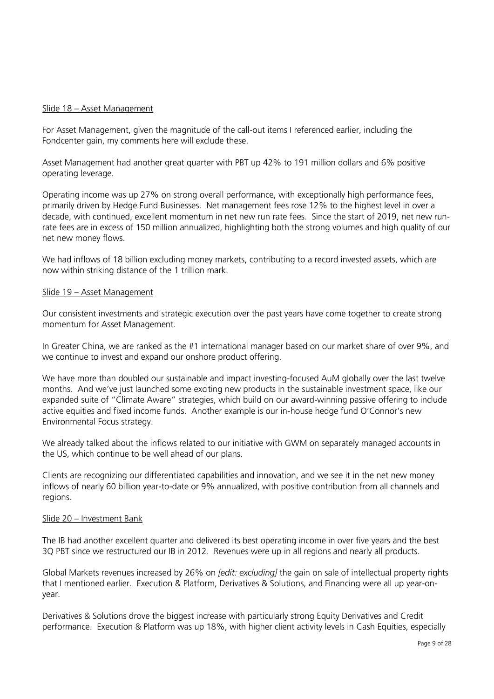#### Slide 18 – Asset Management

For Asset Management, given the magnitude of the call-out items I referenced earlier, including the Fondcenter gain, my comments here will exclude these.

Asset Management had another great quarter with PBT up 42% to 191 million dollars and 6% positive operating leverage.

Operating income was up 27% on strong overall performance, with exceptionally high performance fees, primarily driven by Hedge Fund Businesses. Net management fees rose 12% to the highest level in over a decade, with continued, excellent momentum in net new run rate fees. Since the start of 2019, net new runrate fees are in excess of 150 million annualized, highlighting both the strong volumes and high quality of our net new money flows.

We had inflows of 18 billion excluding money markets, contributing to a record invested assets, which are now within striking distance of the 1 trillion mark.

#### Slide 19 – Asset Management

Our consistent investments and strategic execution over the past years have come together to create strong momentum for Asset Management.

In Greater China, we are ranked as the #1 international manager based on our market share of over 9%, and we continue to invest and expand our onshore product offering.

We have more than doubled our sustainable and impact investing-focused AuM globally over the last twelve months. And we've just launched some exciting new products in the sustainable investment space, like our expanded suite of "Climate Aware" strategies, which build on our award-winning passive offering to include active equities and fixed income funds. Another example is our in-house hedge fund O'Connor's new Environmental Focus strategy.

We already talked about the inflows related to our initiative with GWM on separately managed accounts in the US, which continue to be well ahead of our plans.

Clients are recognizing our differentiated capabilities and innovation, and we see it in the net new money inflows of nearly 60 billion year-to-date or 9% annualized, with positive contribution from all channels and regions.

#### Slide 20 – Investment Bank

The IB had another excellent quarter and delivered its best operating income in over five years and the best 3Q PBT since we restructured our IB in 2012. Revenues were up in all regions and nearly all products.

Global Markets revenues increased by 26% on *[edit: excluding]* the gain on sale of intellectual property rights that I mentioned earlier. Execution & Platform, Derivatives & Solutions, and Financing were all up year-onyear.

Derivatives & Solutions drove the biggest increase with particularly strong Equity Derivatives and Credit performance. Execution & Platform was up 18%, with higher client activity levels in Cash Equities, especially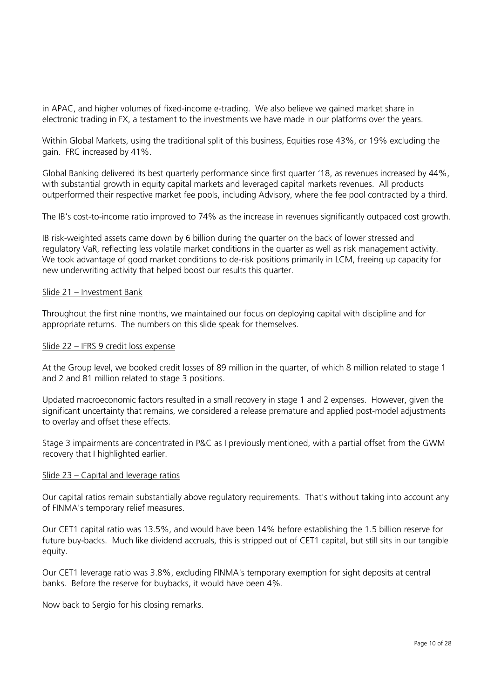in APAC, and higher volumes of fixed-income e-trading. We also believe we gained market share in electronic trading in FX, a testament to the investments we have made in our platforms over the years.

Within Global Markets, using the traditional split of this business, Equities rose 43%, or 19% excluding the gain. FRC increased by 41%.

Global Banking delivered its best quarterly performance since first quarter '18, as revenues increased by 44%, with substantial growth in equity capital markets and leveraged capital markets revenues. All products outperformed their respective market fee pools, including Advisory, where the fee pool contracted by a third.

The IB's cost-to-income ratio improved to 74% as the increase in revenues significantly outpaced cost growth.

IB risk-weighted assets came down by 6 billion during the quarter on the back of lower stressed and regulatory VaR, reflecting less volatile market conditions in the quarter as well as risk management activity. We took advantage of good market conditions to de-risk positions primarily in LCM, freeing up capacity for new underwriting activity that helped boost our results this quarter.

#### Slide 21 – Investment Bank

Throughout the first nine months, we maintained our focus on deploying capital with discipline and for appropriate returns. The numbers on this slide speak for themselves.

#### Slide 22 – IFRS 9 credit loss expense

At the Group level, we booked credit losses of 89 million in the quarter, of which 8 million related to stage 1 and 2 and 81 million related to stage 3 positions.

Updated macroeconomic factors resulted in a small recovery in stage 1 and 2 expenses. However, given the significant uncertainty that remains, we considered a release premature and applied post-model adjustments to overlay and offset these effects.

Stage 3 impairments are concentrated in P&C as I previously mentioned, with a partial offset from the GWM recovery that I highlighted earlier.

#### Slide 23 – Capital and leverage ratios

Our capital ratios remain substantially above regulatory requirements. That's without taking into account any of FINMA's temporary relief measures.

Our CET1 capital ratio was 13.5%, and would have been 14% before establishing the 1.5 billion reserve for future buy-backs. Much like dividend accruals, this is stripped out of CET1 capital, but still sits in our tangible equity.

Our CET1 leverage ratio was 3.8%, excluding FINMA's temporary exemption for sight deposits at central banks. Before the reserve for buybacks, it would have been 4%.

Now back to Sergio for his closing remarks.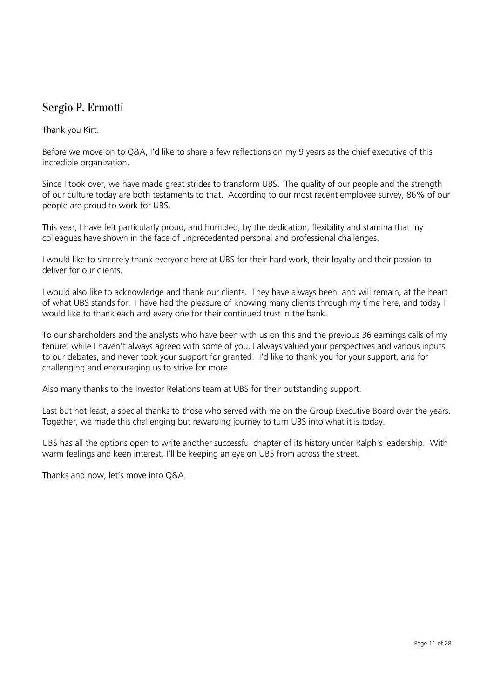# Sergio P. Ermotti

Thank you Kirt.

Before we move on to Q&A, I'd like to share a few reflections on my 9 years as the chief executive of this incredible organization.

Since I took over, we have made great strides to transform UBS. The quality of our people and the strength of our culture today are both testaments to that. According to our most recent employee survey, 86% of our people are proud to work for UBS.

This year, I have felt particularly proud, and humbled, by the dedication, flexibility and stamina that my colleagues have shown in the face of unprecedented personal and professional challenges.

I would like to sincerely thank everyone here at UBS for their hard work, their loyalty and their passion to deliver for our clients.

I would also like to acknowledge and thank our clients. They have always been, and will remain, at the heart of what UBS stands for. I have had the pleasure of knowing many clients through my time here, and today I would like to thank each and every one for their continued trust in the bank.

To our shareholders and the analysts who have been with us on this and the previous 36 earnings calls of my tenure: while I haven't always agreed with some of you, I always valued your perspectives and various inputs to our debates, and never took your support for granted. I'd like to thank you for your support, and for challenging and encouraging us to strive for more.

Also many thanks to the Investor Relations team at UBS for their outstanding support.

Last but not least, a special thanks to those who served with me on the Group Executive Board over the years. Together, we made this challenging but rewarding journey to turn UBS into what it is today.

UBS has all the options open to write another successful chapter of its history under Ralph's leadership. With warm feelings and keen interest, I'll be keeping an eye on UBS from across the street.

Thanks and now, let's move into Q&A.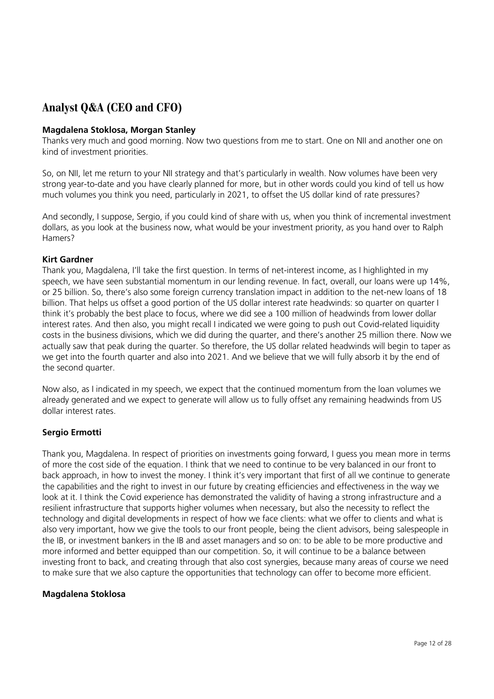# **Analyst Q&A (CEO and CFO)**

### **Magdalena Stoklosa, Morgan Stanley**

Thanks very much and good morning. Now two questions from me to start. One on NII and another one on kind of investment priorities.

So, on NII, let me return to your NII strategy and that's particularly in wealth. Now volumes have been very strong year-to-date and you have clearly planned for more, but in other words could you kind of tell us how much volumes you think you need, particularly in 2021, to offset the US dollar kind of rate pressures?

And secondly, I suppose, Sergio, if you could kind of share with us, when you think of incremental investment dollars, as you look at the business now, what would be your investment priority, as you hand over to Ralph Hamers?

#### **Kirt Gardner**

Thank you, Magdalena, I'll take the first question. In terms of net-interest income, as I highlighted in my speech, we have seen substantial momentum in our lending revenue. In fact, overall, our loans were up 14%, or 25 billion. So, there's also some foreign currency translation impact in addition to the net-new loans of 18 billion. That helps us offset a good portion of the US dollar interest rate headwinds: so quarter on quarter I think it's probably the best place to focus, where we did see a 100 million of headwinds from lower dollar interest rates. And then also, you might recall I indicated we were going to push out Covid-related liquidity costs in the business divisions, which we did during the quarter, and there's another 25 million there. Now we actually saw that peak during the quarter. So therefore, the US dollar related headwinds will begin to taper as we get into the fourth quarter and also into 2021. And we believe that we will fully absorb it by the end of the second quarter.

Now also, as I indicated in my speech, we expect that the continued momentum from the loan volumes we already generated and we expect to generate will allow us to fully offset any remaining headwinds from US dollar interest rates.

# **Sergio Ermotti**

Thank you, Magdalena. In respect of priorities on investments going forward, I guess you mean more in terms of more the cost side of the equation. I think that we need to continue to be very balanced in our front to back approach, in how to invest the money. I think it's very important that first of all we continue to generate the capabilities and the right to invest in our future by creating efficiencies and effectiveness in the way we look at it. I think the Covid experience has demonstrated the validity of having a strong infrastructure and a resilient infrastructure that supports higher volumes when necessary, but also the necessity to reflect the technology and digital developments in respect of how we face clients: what we offer to clients and what is also very important, how we give the tools to our front people, being the client advisors, being salespeople in the IB, or investment bankers in the IB and asset managers and so on: to be able to be more productive and more informed and better equipped than our competition. So, it will continue to be a balance between investing front to back, and creating through that also cost synergies, because many areas of course we need to make sure that we also capture the opportunities that technology can offer to become more efficient.

#### **Magdalena Stoklosa**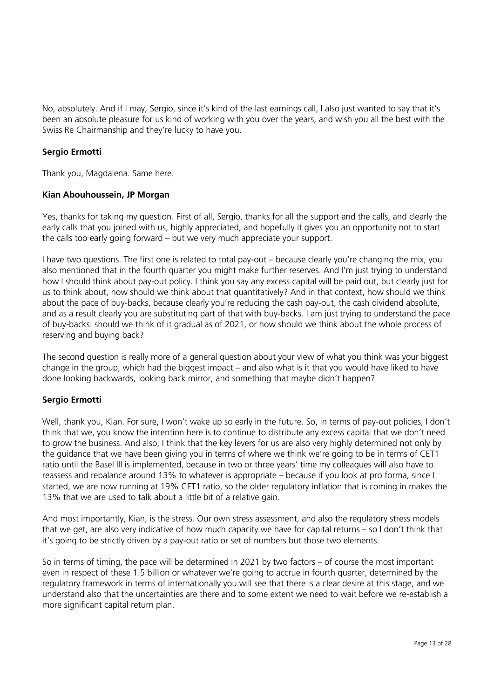No, absolutely. And if I may, Sergio, since it's kind of the last earnings call, I also just wanted to say that it's been an absolute pleasure for us kind of working with you over the years, and wish you all the best with the Swiss Re Chairmanship and they're lucky to have you.

# **Sergio Ermotti**

Thank you, Magdalena. Same here.

# **Kian Abouhoussein, JP Morgan**

Yes, thanks for taking my question. First of all, Sergio, thanks for all the support and the calls, and clearly the early calls that you joined with us, highly appreciated, and hopefully it gives you an opportunity not to start the calls too early going forward – but we very much appreciate your support.

I have two questions. The first one is related to total pay-out – because clearly you're changing the mix, you also mentioned that in the fourth quarter you might make further reserves. And I'm just trying to understand how I should think about pay-out policy. I think you say any excess capital will be paid out, but clearly just for us to think about, how should we think about that quantitatively? And in that context, how should we think about the pace of buy-backs, because clearly you're reducing the cash pay-out, the cash dividend absolute, and as a result clearly you are substituting part of that with buy-backs. I am just trying to understand the pace of buy-backs: should we think of it gradual as of 2021, or how should we think about the whole process of reserving and buying back?

The second question is really more of a general question about your view of what you think was your biggest change in the group, which had the biggest impact – and also what is it that you would have liked to have done looking backwards, looking back mirror, and something that maybe didn't happen?

# **Sergio Ermotti**

Well, thank you, Kian. For sure, I won't wake up so early in the future. So, in terms of pay-out policies, I don't think that we, you know the intention here is to continue to distribute any excess capital that we don't need to grow the business. And also, I think that the key levers for us are also very highly determined not only by the guidance that we have been giving you in terms of where we think we're going to be in terms of CET1 ratio until the Basel III is implemented, because in two or three years' time my colleagues will also have to reassess and rebalance around 13% to whatever is appropriate – because if you look at pro forma, since I started, we are now running at 19% CET1 ratio, so the older regulatory inflation that is coming in makes the 13% that we are used to talk about a little bit of a relative gain.

And most importantly, Kian, is the stress. Our own stress assessment, and also the regulatory stress models that we get, are also very indicative of how much capacity we have for capital returns – so I don't think that it's going to be strictly driven by a pay-out ratio or set of numbers but those two elements.

So in terms of timing, the pace will be determined in 2021 by two factors – of course the most important even in respect of these 1.5 billion or whatever we're going to accrue in fourth quarter, determined by the regulatory framework in terms of internationally you will see that there is a clear desire at this stage, and we understand also that the uncertainties are there and to some extent we need to wait before we re-establish a more significant capital return plan.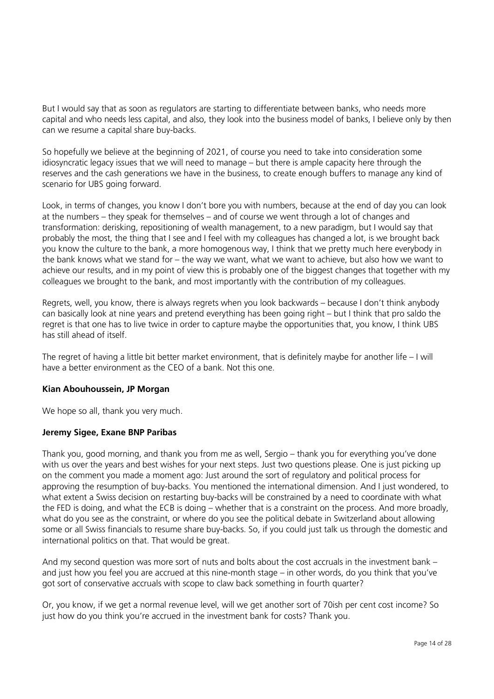But I would say that as soon as regulators are starting to differentiate between banks, who needs more capital and who needs less capital, and also, they look into the business model of banks, I believe only by then can we resume a capital share buy-backs.

So hopefully we believe at the beginning of 2021, of course you need to take into consideration some idiosyncratic legacy issues that we will need to manage – but there is ample capacity here through the reserves and the cash generations we have in the business, to create enough buffers to manage any kind of scenario for UBS going forward.

Look, in terms of changes, you know I don't bore you with numbers, because at the end of day you can look at the numbers – they speak for themselves – and of course we went through a lot of changes and transformation: derisking, repositioning of wealth management, to a new paradigm, but I would say that probably the most, the thing that I see and I feel with my colleagues has changed a lot, is we brought back you know the culture to the bank, a more homogenous way, I think that we pretty much here everybody in the bank knows what we stand for – the way we want, what we want to achieve, but also how we want to achieve our results, and in my point of view this is probably one of the biggest changes that together with my colleagues we brought to the bank, and most importantly with the contribution of my colleagues.

Regrets, well, you know, there is always regrets when you look backwards – because I don't think anybody can basically look at nine years and pretend everything has been going right – but I think that pro saldo the regret is that one has to live twice in order to capture maybe the opportunities that, you know, I think UBS has still ahead of itself.

The regret of having a little bit better market environment, that is definitely maybe for another life – I will have a better environment as the CEO of a bank. Not this one.

# **Kian Abouhoussein, JP Morgan**

We hope so all, thank you very much.

#### **Jeremy Sigee, Exane BNP Paribas**

Thank you, good morning, and thank you from me as well, Sergio – thank you for everything you've done with us over the years and best wishes for your next steps. Just two questions please. One is just picking up on the comment you made a moment ago: Just around the sort of regulatory and political process for approving the resumption of buy-backs. You mentioned the international dimension. And I just wondered, to what extent a Swiss decision on restarting buy-backs will be constrained by a need to coordinate with what the FED is doing, and what the ECB is doing – whether that is a constraint on the process. And more broadly, what do you see as the constraint, or where do you see the political debate in Switzerland about allowing some or all Swiss financials to resume share buy-backs. So, if you could just talk us through the domestic and international politics on that. That would be great.

And my second question was more sort of nuts and bolts about the cost accruals in the investment bank – and just how you feel you are accrued at this nine-month stage – in other words, do you think that you've got sort of conservative accruals with scope to claw back something in fourth quarter?

Or, you know, if we get a normal revenue level, will we get another sort of 70ish per cent cost income? So just how do you think you're accrued in the investment bank for costs? Thank you.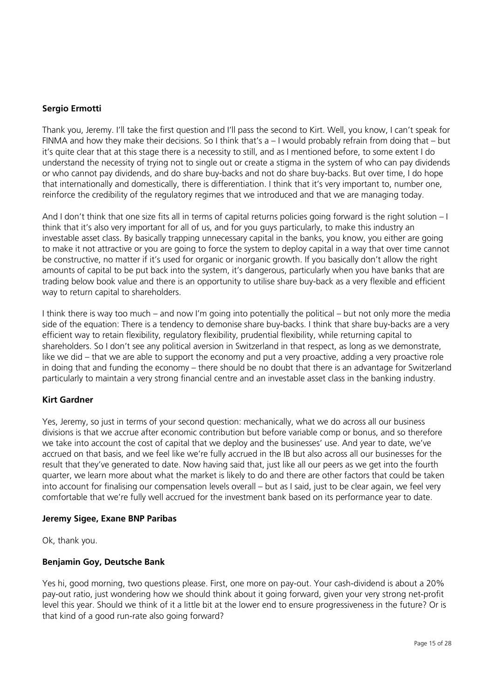# **Sergio Ermotti**

Thank you, Jeremy. I'll take the first question and I'll pass the second to Kirt. Well, you know, I can't speak for FINMA and how they make their decisions. So I think that's a – I would probably refrain from doing that – but it's quite clear that at this stage there is a necessity to still, and as I mentioned before, to some extent I do understand the necessity of trying not to single out or create a stigma in the system of who can pay dividends or who cannot pay dividends, and do share buy-backs and not do share buy-backs. But over time, I do hope that internationally and domestically, there is differentiation. I think that it's very important to, number one, reinforce the credibility of the regulatory regimes that we introduced and that we are managing today.

And I don't think that one size fits all in terms of capital returns policies going forward is the right solution – I think that it's also very important for all of us, and for you guys particularly, to make this industry an investable asset class. By basically trapping unnecessary capital in the banks, you know, you either are going to make it not attractive or you are going to force the system to deploy capital in a way that over time cannot be constructive, no matter if it's used for organic or inorganic growth. If you basically don't allow the right amounts of capital to be put back into the system, it's dangerous, particularly when you have banks that are trading below book value and there is an opportunity to utilise share buy-back as a very flexible and efficient way to return capital to shareholders.

I think there is way too much – and now I'm going into potentially the political – but not only more the media side of the equation: There is a tendency to demonise share buy-backs. I think that share buy-backs are a very efficient way to retain flexibility, regulatory flexibility, prudential flexibility, while returning capital to shareholders. So I don't see any political aversion in Switzerland in that respect, as long as we demonstrate, like we did – that we are able to support the economy and put a very proactive, adding a very proactive role in doing that and funding the economy – there should be no doubt that there is an advantage for Switzerland particularly to maintain a very strong financial centre and an investable asset class in the banking industry.

#### **Kirt Gardner**

Yes, Jeremy, so just in terms of your second question: mechanically, what we do across all our business divisions is that we accrue after economic contribution but before variable comp or bonus, and so therefore we take into account the cost of capital that we deploy and the businesses' use. And year to date, we've accrued on that basis, and we feel like we're fully accrued in the IB but also across all our businesses for the result that they've generated to date. Now having said that, just like all our peers as we get into the fourth quarter, we learn more about what the market is likely to do and there are other factors that could be taken into account for finalising our compensation levels overall – but as I said, just to be clear again, we feel very comfortable that we're fully well accrued for the investment bank based on its performance year to date.

#### **Jeremy Sigee, Exane BNP Paribas**

Ok, thank you.

#### **Benjamin Goy, Deutsche Bank**

Yes hi, good morning, two questions please. First, one more on pay-out. Your cash-dividend is about a 20% pay-out ratio, just wondering how we should think about it going forward, given your very strong net-profit level this year. Should we think of it a little bit at the lower end to ensure progressiveness in the future? Or is that kind of a good run-rate also going forward?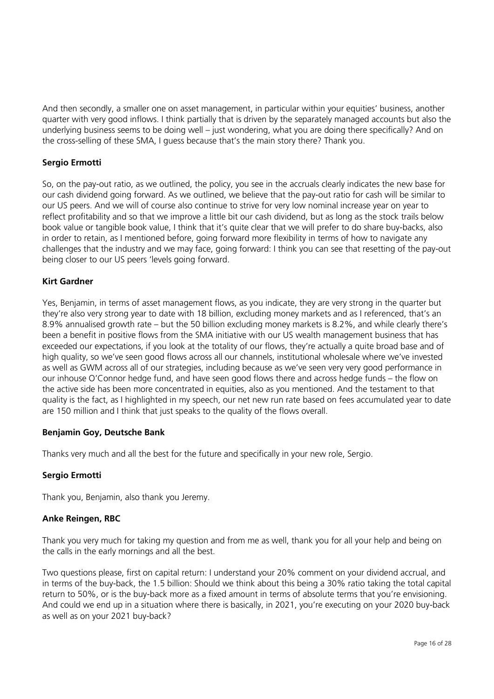And then secondly, a smaller one on asset management, in particular within your equities' business, another quarter with very good inflows. I think partially that is driven by the separately managed accounts but also the underlying business seems to be doing well – just wondering, what you are doing there specifically? And on the cross-selling of these SMA, I guess because that's the main story there? Thank you.

# **Sergio Ermotti**

So, on the pay-out ratio, as we outlined, the policy, you see in the accruals clearly indicates the new base for our cash dividend going forward. As we outlined, we believe that the pay-out ratio for cash will be similar to our US peers. And we will of course also continue to strive for very low nominal increase year on year to reflect profitability and so that we improve a little bit our cash dividend, but as long as the stock trails below book value or tangible book value, I think that it's quite clear that we will prefer to do share buy-backs, also in order to retain, as I mentioned before, going forward more flexibility in terms of how to navigate any challenges that the industry and we may face, going forward: I think you can see that resetting of the pay-out being closer to our US peers 'levels going forward.

# **Kirt Gardner**

Yes, Benjamin, in terms of asset management flows, as you indicate, they are very strong in the quarter but they're also very strong year to date with 18 billion, excluding money markets and as I referenced, that's an 8.9% annualised growth rate – but the 50 billion excluding money markets is 8.2%, and while clearly there's been a benefit in positive flows from the SMA initiative with our US wealth management business that has exceeded our expectations, if you look at the totality of our flows, they're actually a quite broad base and of high quality, so we've seen good flows across all our channels, institutional wholesale where we've invested as well as GWM across all of our strategies, including because as we've seen very very good performance in our inhouse O'Connor hedge fund, and have seen good flows there and across hedge funds – the flow on the active side has been more concentrated in equities, also as you mentioned. And the testament to that quality is the fact, as I highlighted in my speech, our net new run rate based on fees accumulated year to date are 150 million and I think that just speaks to the quality of the flows overall.

#### **Benjamin Goy, Deutsche Bank**

Thanks very much and all the best for the future and specifically in your new role, Sergio.

# **Sergio Ermotti**

Thank you, Benjamin, also thank you Jeremy.

#### **Anke Reingen, RBC**

Thank you very much for taking my question and from me as well, thank you for all your help and being on the calls in the early mornings and all the best.

Two questions please, first on capital return: I understand your 20% comment on your dividend accrual, and in terms of the buy-back, the 1.5 billion: Should we think about this being a 30% ratio taking the total capital return to 50%, or is the buy-back more as a fixed amount in terms of absolute terms that you're envisioning. And could we end up in a situation where there is basically, in 2021, you're executing on your 2020 buy-back as well as on your 2021 buy-back?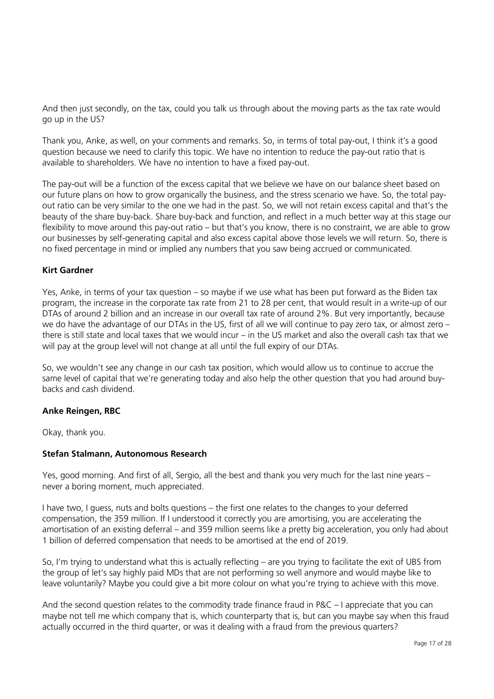And then just secondly, on the tax, could you talk us through about the moving parts as the tax rate would go up in the US?

Thank you, Anke, as well, on your comments and remarks. So, in terms of total pay-out, I think it's a good question because we need to clarify this topic. We have no intention to reduce the pay-out ratio that is available to shareholders. We have no intention to have a fixed pay-out.

The pay-out will be a function of the excess capital that we believe we have on our balance sheet based on our future plans on how to grow organically the business, and the stress scenario we have. So, the total payout ratio can be very similar to the one we had in the past. So, we will not retain excess capital and that's the beauty of the share buy-back. Share buy-back and function, and reflect in a much better way at this stage our flexibility to move around this pay-out ratio – but that's you know, there is no constraint, we are able to grow our businesses by self-generating capital and also excess capital above those levels we will return. So, there is no fixed percentage in mind or implied any numbers that you saw being accrued or communicated.

# **Kirt Gardner**

Yes, Anke, in terms of your tax question – so maybe if we use what has been put forward as the Biden tax program, the increase in the corporate tax rate from 21 to 28 per cent, that would result in a write-up of our DTAs of around 2 billion and an increase in our overall tax rate of around 2%. But very importantly, because we do have the advantage of our DTAs in the US, first of all we will continue to pay zero tax, or almost zero – there is still state and local taxes that we would incur – in the US market and also the overall cash tax that we will pay at the group level will not change at all until the full expiry of our DTAs.

So, we wouldn't see any change in our cash tax position, which would allow us to continue to accrue the same level of capital that we're generating today and also help the other question that you had around buybacks and cash dividend.

#### **Anke Reingen, RBC**

Okay, thank you.

#### **Stefan Stalmann, Autonomous Research**

Yes, good morning. And first of all, Sergio, all the best and thank you very much for the last nine years – never a boring moment, much appreciated.

I have two, I guess, nuts and bolts questions – the first one relates to the changes to your deferred compensation, the 359 million. If I understood it correctly you are amortising, you are accelerating the amortisation of an existing deferral – and 359 million seems like a pretty big acceleration, you only had about 1 billion of deferred compensation that needs to be amortised at the end of 2019.

So, I'm trying to understand what this is actually reflecting – are you trying to facilitate the exit of UBS from the group of let's say highly paid MDs that are not performing so well anymore and would maybe like to leave voluntarily? Maybe you could give a bit more colour on what you're trying to achieve with this move.

And the second question relates to the commodity trade finance fraud in P&C – I appreciate that you can maybe not tell me which company that is, which counterparty that is, but can you maybe say when this fraud actually occurred in the third quarter, or was it dealing with a fraud from the previous quarters?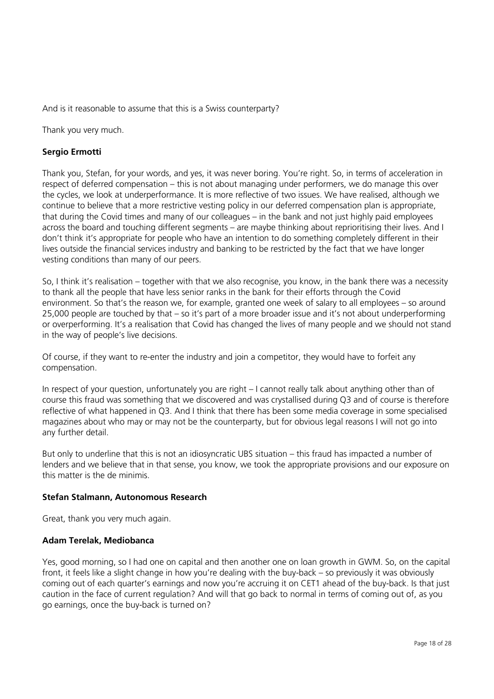And is it reasonable to assume that this is a Swiss counterparty?

Thank you very much.

# **Sergio Ermotti**

Thank you, Stefan, for your words, and yes, it was never boring. You're right. So, in terms of acceleration in respect of deferred compensation – this is not about managing under performers, we do manage this over the cycles, we look at underperformance. It is more reflective of two issues. We have realised, although we continue to believe that a more restrictive vesting policy in our deferred compensation plan is appropriate, that during the Covid times and many of our colleagues – in the bank and not just highly paid employees across the board and touching different segments – are maybe thinking about reprioritising their lives. And I don't think it's appropriate for people who have an intention to do something completely different in their lives outside the financial services industry and banking to be restricted by the fact that we have longer vesting conditions than many of our peers.

So, I think it's realisation – together with that we also recognise, you know, in the bank there was a necessity to thank all the people that have less senior ranks in the bank for their efforts through the Covid environment. So that's the reason we, for example, granted one week of salary to all employees – so around 25,000 people are touched by that – so it's part of a more broader issue and it's not about underperforming or overperforming. It's a realisation that Covid has changed the lives of many people and we should not stand in the way of people's live decisions.

Of course, if they want to re-enter the industry and join a competitor, they would have to forfeit any compensation.

In respect of your question, unfortunately you are right – I cannot really talk about anything other than of course this fraud was something that we discovered and was crystallised during Q3 and of course is therefore reflective of what happened in Q3. And I think that there has been some media coverage in some specialised magazines about who may or may not be the counterparty, but for obvious legal reasons I will not go into any further detail.

But only to underline that this is not an idiosyncratic UBS situation – this fraud has impacted a number of lenders and we believe that in that sense, you know, we took the appropriate provisions and our exposure on this matter is the de minimis.

#### **Stefan Stalmann, Autonomous Research**

Great, thank you very much again.

#### **Adam Terelak, Mediobanca**

Yes, good morning, so I had one on capital and then another one on loan growth in GWM. So, on the capital front, it feels like a slight change in how you're dealing with the buy-back – so previously it was obviously coming out of each quarter's earnings and now you're accruing it on CET1 ahead of the buy-back. Is that just caution in the face of current regulation? And will that go back to normal in terms of coming out of, as you go earnings, once the buy-back is turned on?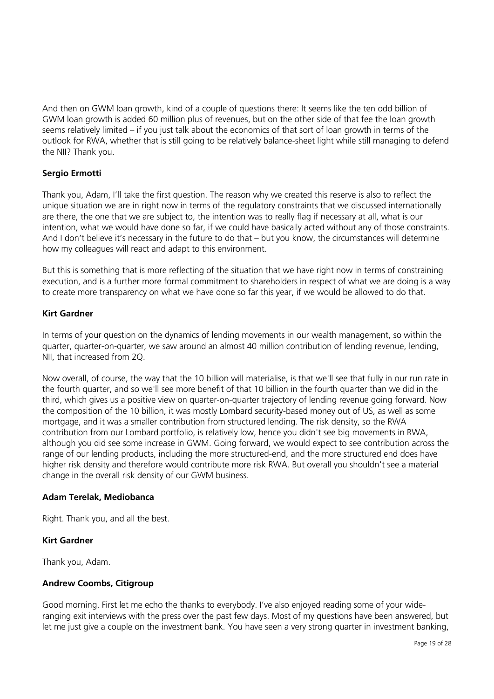And then on GWM loan growth, kind of a couple of questions there: It seems like the ten odd billion of GWM loan growth is added 60 million plus of revenues, but on the other side of that fee the loan growth seems relatively limited – if you just talk about the economics of that sort of loan growth in terms of the outlook for RWA, whether that is still going to be relatively balance-sheet light while still managing to defend the NII? Thank you.

# **Sergio Ermotti**

Thank you, Adam, I'll take the first question. The reason why we created this reserve is also to reflect the unique situation we are in right now in terms of the regulatory constraints that we discussed internationally are there, the one that we are subject to, the intention was to really flag if necessary at all, what is our intention, what we would have done so far, if we could have basically acted without any of those constraints. And I don't believe it's necessary in the future to do that – but you know, the circumstances will determine how my colleagues will react and adapt to this environment.

But this is something that is more reflecting of the situation that we have right now in terms of constraining execution, and is a further more formal commitment to shareholders in respect of what we are doing is a way to create more transparency on what we have done so far this year, if we would be allowed to do that.

# **Kirt Gardner**

In terms of your question on the dynamics of lending movements in our wealth management, so within the quarter, quarter-on-quarter, we saw around an almost 40 million contribution of lending revenue, lending, NII, that increased from 2Q.

Now overall, of course, the way that the 10 billion will materialise, is that we'll see that fully in our run rate in the fourth quarter, and so we'll see more benefit of that 10 billion in the fourth quarter than we did in the third, which gives us a positive view on quarter-on-quarter trajectory of lending revenue going forward. Now the composition of the 10 billion, it was mostly Lombard security-based money out of US, as well as some mortgage, and it was a smaller contribution from structured lending. The risk density, so the RWA contribution from our Lombard portfolio, is relatively low, hence you didn't see big movements in RWA, although you did see some increase in GWM. Going forward, we would expect to see contribution across the range of our lending products, including the more structured-end, and the more structured end does have higher risk density and therefore would contribute more risk RWA. But overall you shouldn't see a material change in the overall risk density of our GWM business.

#### **Adam Terelak, Mediobanca**

Right. Thank you, and all the best.

# **Kirt Gardner**

Thank you, Adam.

#### **Andrew Coombs, Citigroup**

Good morning. First let me echo the thanks to everybody. I've also enjoyed reading some of your wideranging exit interviews with the press over the past few days. Most of my questions have been answered, but let me just give a couple on the investment bank. You have seen a very strong quarter in investment banking,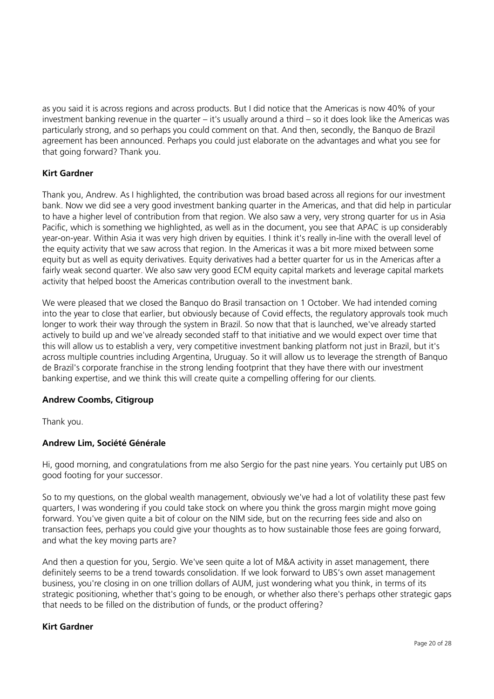as you said it is across regions and across products. But I did notice that the Americas is now 40% of your investment banking revenue in the quarter – it's usually around a third – so it does look like the Americas was particularly strong, and so perhaps you could comment on that. And then, secondly, the Banquo de Brazil agreement has been announced. Perhaps you could just elaborate on the advantages and what you see for that going forward? Thank you.

# **Kirt Gardner**

Thank you, Andrew. As I highlighted, the contribution was broad based across all regions for our investment bank. Now we did see a very good investment banking quarter in the Americas, and that did help in particular to have a higher level of contribution from that region. We also saw a very, very strong quarter for us in Asia Pacific, which is something we highlighted, as well as in the document, you see that APAC is up considerably year-on-year. Within Asia it was very high driven by equities. I think it's really in-line with the overall level of the equity activity that we saw across that region. In the Americas it was a bit more mixed between some equity but as well as equity derivatives. Equity derivatives had a better quarter for us in the Americas after a fairly weak second quarter. We also saw very good ECM equity capital markets and leverage capital markets activity that helped boost the Americas contribution overall to the investment bank.

We were pleased that we closed the Banquo do Brasil transaction on 1 October. We had intended coming into the year to close that earlier, but obviously because of Covid effects, the regulatory approvals took much longer to work their way through the system in Brazil. So now that that is launched, we've already started actively to build up and we've already seconded staff to that initiative and we would expect over time that this will allow us to establish a very, very competitive investment banking platform not just in Brazil, but it's across multiple countries including Argentina, Uruguay. So it will allow us to leverage the strength of Banquo de Brazil's corporate franchise in the strong lending footprint that they have there with our investment banking expertise, and we think this will create quite a compelling offering for our clients.

# **Andrew Coombs, Citigroup**

Thank you.

#### **Andrew Lim, Société Générale**

Hi, good morning, and congratulations from me also Sergio for the past nine years. You certainly put UBS on good footing for your successor.

So to my questions, on the global wealth management, obviously we've had a lot of volatility these past few quarters, I was wondering if you could take stock on where you think the gross margin might move going forward. You've given quite a bit of colour on the NIM side, but on the recurring fees side and also on transaction fees, perhaps you could give your thoughts as to how sustainable those fees are going forward, and what the key moving parts are?

And then a question for you, Sergio. We've seen quite a lot of M&A activity in asset management, there definitely seems to be a trend towards consolidation. If we look forward to UBS's own asset management business, you're closing in on one trillion dollars of AUM, just wondering what you think, in terms of its strategic positioning, whether that's going to be enough, or whether also there's perhaps other strategic gaps that needs to be filled on the distribution of funds, or the product offering?

#### **Kirt Gardner**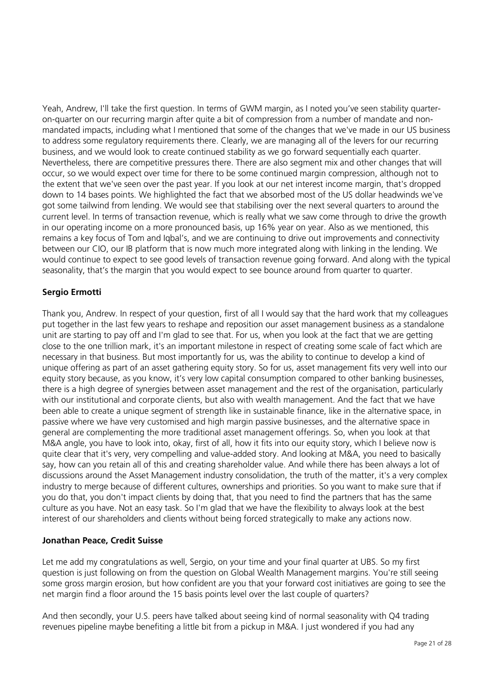Yeah, Andrew, I'll take the first question. In terms of GWM margin, as I noted you've seen stability quarteron-quarter on our recurring margin after quite a bit of compression from a number of mandate and nonmandated impacts, including what I mentioned that some of the changes that we've made in our US business to address some regulatory requirements there. Clearly, we are managing all of the levers for our recurring business, and we would look to create continued stability as we go forward sequentially each quarter. Nevertheless, there are competitive pressures there. There are also segment mix and other changes that will occur, so we would expect over time for there to be some continued margin compression, although not to the extent that we've seen over the past year. If you look at our net interest income margin, that's dropped down to 14 bases points. We highlighted the fact that we absorbed most of the US dollar headwinds we've got some tailwind from lending. We would see that stabilising over the next several quarters to around the current level. In terms of transaction revenue, which is really what we saw come through to drive the growth in our operating income on a more pronounced basis, up 16% year on year. Also as we mentioned, this remains a key focus of Tom and Iqbal's, and we are continuing to drive out improvements and connectivity between our CIO, our IB platform that is now much more integrated along with linking in the lending. We would continue to expect to see good levels of transaction revenue going forward. And along with the typical seasonality, that's the margin that you would expect to see bounce around from quarter to quarter.

# **Sergio Ermotti**

Thank you, Andrew. In respect of your question, first of all I would say that the hard work that my colleagues put together in the last few years to reshape and reposition our asset management business as a standalone unit are starting to pay off and I'm glad to see that. For us, when you look at the fact that we are getting close to the one trillion mark, it's an important milestone in respect of creating some scale of fact which are necessary in that business. But most importantly for us, was the ability to continue to develop a kind of unique offering as part of an asset gathering equity story. So for us, asset management fits very well into our equity story because, as you know, it's very low capital consumption compared to other banking businesses, there is a high degree of synergies between asset management and the rest of the organisation, particularly with our institutional and corporate clients, but also with wealth management. And the fact that we have been able to create a unique segment of strength like in sustainable finance, like in the alternative space, in passive where we have very customised and high margin passive businesses, and the alternative space in general are complementing the more traditional asset management offerings. So, when you look at that M&A angle, you have to look into, okay, first of all, how it fits into our equity story, which I believe now is quite clear that it's very, very compelling and value-added story. And looking at M&A, you need to basically say, how can you retain all of this and creating shareholder value. And while there has been always a lot of discussions around the Asset Management industry consolidation, the truth of the matter, it's a very complex industry to merge because of different cultures, ownerships and priorities. So you want to make sure that if you do that, you don't impact clients by doing that, that you need to find the partners that has the same culture as you have. Not an easy task. So I'm glad that we have the flexibility to always look at the best interest of our shareholders and clients without being forced strategically to make any actions now.

# **Jonathan Peace, Credit Suisse**

Let me add my congratulations as well, Sergio, on your time and your final quarter at UBS. So my first question is just following on from the question on Global Wealth Management margins. You're still seeing some gross margin erosion, but how confident are you that your forward cost initiatives are going to see the net margin find a floor around the 15 basis points level over the last couple of quarters?

And then secondly, your U.S. peers have talked about seeing kind of normal seasonality with Q4 trading revenues pipeline maybe benefiting a little bit from a pickup in M&A. I just wondered if you had any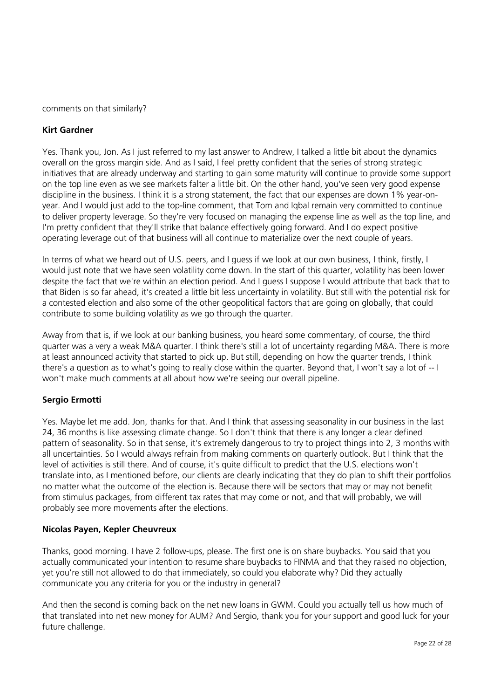comments on that similarly?

# **Kirt Gardner**

Yes. Thank you, Jon. As I just referred to my last answer to Andrew, I talked a little bit about the dynamics overall on the gross margin side. And as I said, I feel pretty confident that the series of strong strategic initiatives that are already underway and starting to gain some maturity will continue to provide some support on the top line even as we see markets falter a little bit. On the other hand, you've seen very good expense discipline in the business. I think it is a strong statement, the fact that our expenses are down 1% year-onyear. And I would just add to the top-line comment, that Tom and Iqbal remain very committed to continue to deliver property leverage. So they're very focused on managing the expense line as well as the top line, and I'm pretty confident that they'll strike that balance effectively going forward. And I do expect positive operating leverage out of that business will all continue to materialize over the next couple of years.

In terms of what we heard out of U.S. peers, and I guess if we look at our own business, I think, firstly, I would just note that we have seen volatility come down. In the start of this quarter, volatility has been lower despite the fact that we're within an election period. And I guess I suppose I would attribute that back that to that Biden is so far ahead, it's created a little bit less uncertainty in volatility. But still with the potential risk for a contested election and also some of the other geopolitical factors that are going on globally, that could contribute to some building volatility as we go through the quarter.

Away from that is, if we look at our banking business, you heard some commentary, of course, the third quarter was a very a weak M&A quarter. I think there's still a lot of uncertainty regarding M&A. There is more at least announced activity that started to pick up. But still, depending on how the quarter trends, I think there's a question as to what's going to really close within the quarter. Beyond that, I won't say a lot of -- I won't make much comments at all about how we're seeing our overall pipeline.

# **Sergio Ermotti**

Yes. Maybe let me add. Jon, thanks for that. And I think that assessing seasonality in our business in the last 24, 36 months is like assessing climate change. So I don't think that there is any longer a clear defined pattern of seasonality. So in that sense, it's extremely dangerous to try to project things into 2, 3 months with all uncertainties. So I would always refrain from making comments on quarterly outlook. But I think that the level of activities is still there. And of course, it's quite difficult to predict that the U.S. elections won't translate into, as I mentioned before, our clients are clearly indicating that they do plan to shift their portfolios no matter what the outcome of the election is. Because there will be sectors that may or may not benefit from stimulus packages, from different tax rates that may come or not, and that will probably, we will probably see more movements after the elections.

#### **Nicolas Payen, Kepler Cheuvreux**

Thanks, good morning. I have 2 follow-ups, please. The first one is on share buybacks. You said that you actually communicated your intention to resume share buybacks to FINMA and that they raised no objection, yet you're still not allowed to do that immediately, so could you elaborate why? Did they actually communicate you any criteria for you or the industry in general?

And then the second is coming back on the net new loans in GWM. Could you actually tell us how much of that translated into net new money for AUM? And Sergio, thank you for your support and good luck for your future challenge.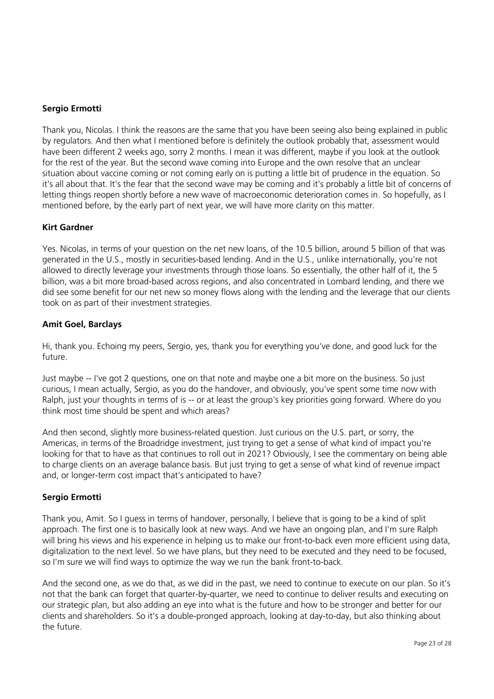# **Sergio Ermotti**

Thank you, Nicolas. I think the reasons are the same that you have been seeing also being explained in public by regulators. And then what I mentioned before is definitely the outlook probably that, assessment would have been different 2 weeks ago, sorry 2 months. I mean it was different, maybe if you look at the outlook for the rest of the year. But the second wave coming into Europe and the own resolve that an unclear situation about vaccine coming or not coming early on is putting a little bit of prudence in the equation. So it's all about that. It's the fear that the second wave may be coming and it's probably a little bit of concerns of letting things reopen shortly before a new wave of macroeconomic deterioration comes in. So hopefully, as I mentioned before, by the early part of next year, we will have more clarity on this matter.

# **Kirt Gardner**

Yes. Nicolas, in terms of your question on the net new loans, of the 10.5 billion, around 5 billion of that was generated in the U.S., mostly in securities-based lending. And in the U.S., unlike internationally, you're not allowed to directly leverage your investments through those loans. So essentially, the other half of it, the 5 billion, was a bit more broad-based across regions, and also concentrated in Lombard lending, and there we did see some benefit for our net new so money flows along with the lending and the leverage that our clients took on as part of their investment strategies.

#### **Amit Goel, Barclays**

Hi, thank you. Echoing my peers, Sergio, yes, thank you for everything you've done, and good luck for the future.

Just maybe -- I've got 2 questions, one on that note and maybe one a bit more on the business. So just curious, I mean actually, Sergio, as you do the handover, and obviously, you've spent some time now with Ralph, just your thoughts in terms of is -- or at least the group's key priorities going forward. Where do you think most time should be spent and which areas?

And then second, slightly more business-related question. Just curious on the U.S. part, or sorry, the Americas, in terms of the Broadridge investment, just trying to get a sense of what kind of impact you're looking for that to have as that continues to roll out in 2021? Obviously, I see the commentary on being able to charge clients on an average balance basis. But just trying to get a sense of what kind of revenue impact and, or longer-term cost impact that's anticipated to have?

# **Sergio Ermotti**

Thank you, Amit. So I guess in terms of handover, personally, I believe that is going to be a kind of split approach. The first one is to basically look at new ways. And we have an ongoing plan, and I'm sure Ralph will bring his views and his experience in helping us to make our front-to-back even more efficient using data, digitalization to the next level. So we have plans, but they need to be executed and they need to be focused, so I'm sure we will find ways to optimize the way we run the bank front-to-back.

And the second one, as we do that, as we did in the past, we need to continue to execute on our plan. So it's not that the bank can forget that quarter-by-quarter, we need to continue to deliver results and executing on our strategic plan, but also adding an eye into what is the future and how to be stronger and better for our clients and shareholders. So it's a double-pronged approach, looking at day-to-day, but also thinking about the future.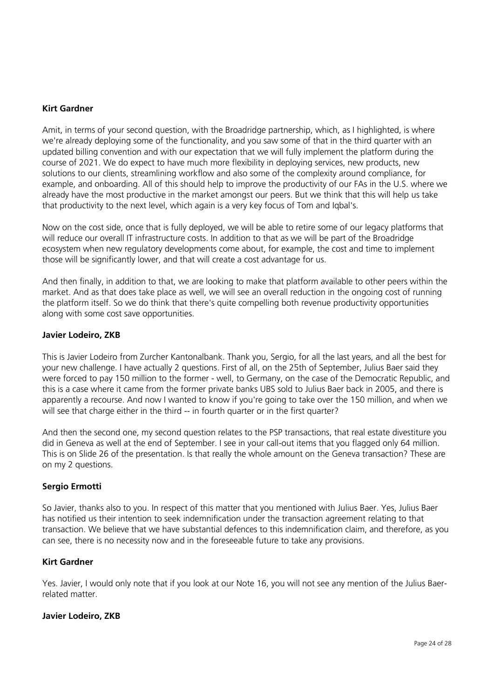### **Kirt Gardner**

Amit, in terms of your second question, with the Broadridge partnership, which, as I highlighted, is where we're already deploying some of the functionality, and you saw some of that in the third quarter with an updated billing convention and with our expectation that we will fully implement the platform during the course of 2021. We do expect to have much more flexibility in deploying services, new products, new solutions to our clients, streamlining workflow and also some of the complexity around compliance, for example, and onboarding. All of this should help to improve the productivity of our FAs in the U.S. where we already have the most productive in the market amongst our peers. But we think that this will help us take that productivity to the next level, which again is a very key focus of Tom and Iqbal's.

Now on the cost side, once that is fully deployed, we will be able to retire some of our legacy platforms that will reduce our overall IT infrastructure costs. In addition to that as we will be part of the Broadridge ecosystem when new regulatory developments come about, for example, the cost and time to implement those will be significantly lower, and that will create a cost advantage for us.

And then finally, in addition to that, we are looking to make that platform available to other peers within the market. And as that does take place as well, we will see an overall reduction in the ongoing cost of running the platform itself. So we do think that there's quite compelling both revenue productivity opportunities along with some cost save opportunities.

#### **Javier Lodeiro, ZKB**

This is Javier Lodeiro from Zurcher Kantonalbank. Thank you, Sergio, for all the last years, and all the best for your new challenge. I have actually 2 questions. First of all, on the 25th of September, Julius Baer said they were forced to pay 150 million to the former - well, to Germany, on the case of the Democratic Republic, and this is a case where it came from the former private banks UBS sold to Julius Baer back in 2005, and there is apparently a recourse. And now I wanted to know if you're going to take over the 150 million, and when we will see that charge either in the third -- in fourth quarter or in the first quarter?

And then the second one, my second question relates to the PSP transactions, that real estate divestiture you did in Geneva as well at the end of September. I see in your call-out items that you flagged only 64 million. This is on Slide 26 of the presentation. Is that really the whole amount on the Geneva transaction? These are on my 2 questions.

# **Sergio Ermotti**

So Javier, thanks also to you. In respect of this matter that you mentioned with Julius Baer. Yes, Julius Baer has notified us their intention to seek indemnification under the transaction agreement relating to that transaction. We believe that we have substantial defences to this indemnification claim, and therefore, as you can see, there is no necessity now and in the foreseeable future to take any provisions.

#### **Kirt Gardner**

Yes. Javier, I would only note that if you look at our Note 16, you will not see any mention of the Julius Baerrelated matter.

#### **Javier Lodeiro, ZKB**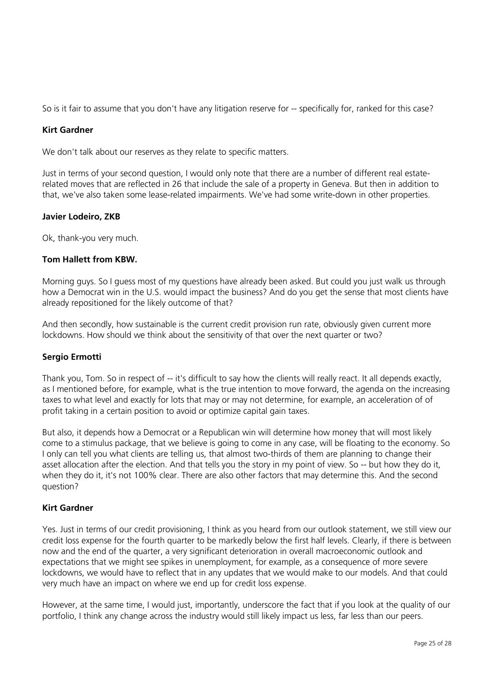So is it fair to assume that you don't have any litigation reserve for -- specifically for, ranked for this case?

# **Kirt Gardner**

We don't talk about our reserves as they relate to specific matters.

Just in terms of your second question, I would only note that there are a number of different real estaterelated moves that are reflected in 26 that include the sale of a property in Geneva. But then in addition to that, we've also taken some lease-related impairments. We've had some write-down in other properties.

# **Javier Lodeiro, ZKB**

Ok, thank-you very much.

# **Tom Hallett from KBW.**

Morning guys. So I guess most of my questions have already been asked. But could you just walk us through how a Democrat win in the U.S. would impact the business? And do you get the sense that most clients have already repositioned for the likely outcome of that?

And then secondly, how sustainable is the current credit provision run rate, obviously given current more lockdowns. How should we think about the sensitivity of that over the next quarter or two?

#### **Sergio Ermotti**

Thank you, Tom. So in respect of -- it's difficult to say how the clients will really react. It all depends exactly, as I mentioned before, for example, what is the true intention to move forward, the agenda on the increasing taxes to what level and exactly for lots that may or may not determine, for example, an acceleration of of profit taking in a certain position to avoid or optimize capital gain taxes.

But also, it depends how a Democrat or a Republican win will determine how money that will most likely come to a stimulus package, that we believe is going to come in any case, will be floating to the economy. So I only can tell you what clients are telling us, that almost two-thirds of them are planning to change their asset allocation after the election. And that tells you the story in my point of view. So -- but how they do it, when they do it, it's not 100% clear. There are also other factors that may determine this. And the second question?

# **Kirt Gardner**

Yes. Just in terms of our credit provisioning, I think as you heard from our outlook statement, we still view our credit loss expense for the fourth quarter to be markedly below the first half levels. Clearly, if there is between now and the end of the quarter, a very significant deterioration in overall macroeconomic outlook and expectations that we might see spikes in unemployment, for example, as a consequence of more severe lockdowns, we would have to reflect that in any updates that we would make to our models. And that could very much have an impact on where we end up for credit loss expense.

However, at the same time, I would just, importantly, underscore the fact that if you look at the quality of our portfolio, I think any change across the industry would still likely impact us less, far less than our peers.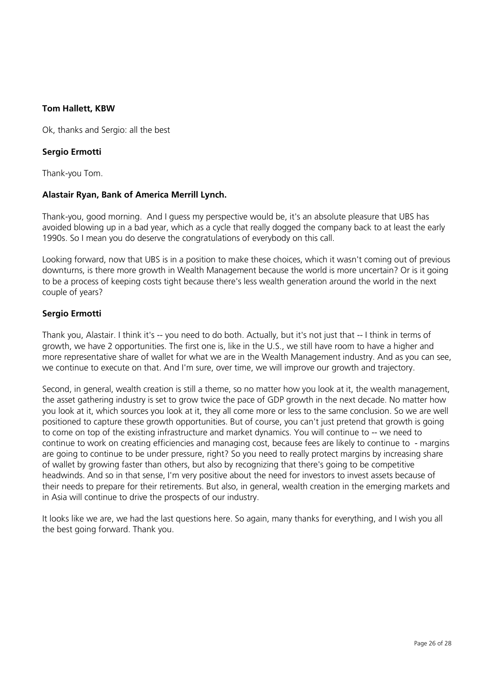# **Tom Hallett, KBW**

Ok, thanks and Sergio: all the best

### **Sergio Ermotti**

Thank-you Tom.

#### **Alastair Ryan, Bank of America Merrill Lynch.**

Thank-you, good morning. And I guess my perspective would be, it's an absolute pleasure that UBS has avoided blowing up in a bad year, which as a cycle that really dogged the company back to at least the early 1990s. So I mean you do deserve the congratulations of everybody on this call.

Looking forward, now that UBS is in a position to make these choices, which it wasn't coming out of previous downturns, is there more growth in Wealth Management because the world is more uncertain? Or is it going to be a process of keeping costs tight because there's less wealth generation around the world in the next couple of years?

# **Sergio Ermotti**

Thank you, Alastair. I think it's -- you need to do both. Actually, but it's not just that -- I think in terms of growth, we have 2 opportunities. The first one is, like in the U.S., we still have room to have a higher and more representative share of wallet for what we are in the Wealth Management industry. And as you can see, we continue to execute on that. And I'm sure, over time, we will improve our growth and trajectory.

Second, in general, wealth creation is still a theme, so no matter how you look at it, the wealth management, the asset gathering industry is set to grow twice the pace of GDP growth in the next decade. No matter how you look at it, which sources you look at it, they all come more or less to the same conclusion. So we are well positioned to capture these growth opportunities. But of course, you can't just pretend that growth is going to come on top of the existing infrastructure and market dynamics. You will continue to -- we need to continue to work on creating efficiencies and managing cost, because fees are likely to continue to - margins are going to continue to be under pressure, right? So you need to really protect margins by increasing share of wallet by growing faster than others, but also by recognizing that there's going to be competitive headwinds. And so in that sense, I'm very positive about the need for investors to invest assets because of their needs to prepare for their retirements. But also, in general, wealth creation in the emerging markets and in Asia will continue to drive the prospects of our industry.

It looks like we are, we had the last questions here. So again, many thanks for everything, and I wish you all the best going forward. Thank you.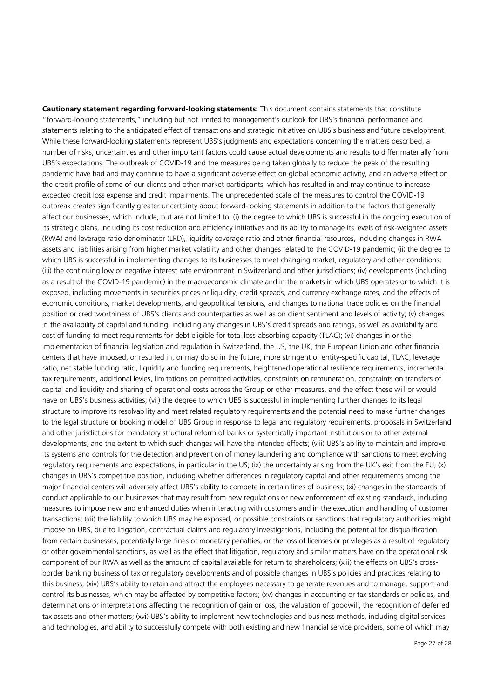**Cautionary statement regarding forward-looking statements:** This document contains statements that constitute "forward-looking statements," including but not limited to management's outlook for UBS's financial performance and statements relating to the anticipated effect of transactions and strategic initiatives on UBS's business and future development. While these forward-looking statements represent UBS's judgments and expectations concerning the matters described, a number of risks, uncertainties and other important factors could cause actual developments and results to differ materially from UBS's expectations. The outbreak of COVID-19 and the measures being taken globally to reduce the peak of the resulting pandemic have had and may continue to have a significant adverse effect on global economic activity, and an adverse effect on the credit profile of some of our clients and other market participants, which has resulted in and may continue to increase expected credit loss expense and credit impairments. The unprecedented scale of the measures to control the COVID-19 outbreak creates significantly greater uncertainty about forward-looking statements in addition to the factors that generally affect our businesses, which include, but are not limited to: (i) the degree to which UBS is successful in the ongoing execution of its strategic plans, including its cost reduction and efficiency initiatives and its ability to manage its levels of risk-weighted assets (RWA) and leverage ratio denominator (LRD), liquidity coverage ratio and other financial resources, including changes in RWA assets and liabilities arising from higher market volatility and other changes related to the COVID-19 pandemic; (ii) the degree to which UBS is successful in implementing changes to its businesses to meet changing market, regulatory and other conditions; (iii) the continuing low or negative interest rate environment in Switzerland and other jurisdictions; (iv) developments (including as a result of the COVID-19 pandemic) in the macroeconomic climate and in the markets in which UBS operates or to which it is exposed, including movements in securities prices or liquidity, credit spreads, and currency exchange rates, and the effects of economic conditions, market developments, and geopolitical tensions, and changes to national trade policies on the financial position or creditworthiness of UBS's clients and counterparties as well as on client sentiment and levels of activity; (v) changes in the availability of capital and funding, including any changes in UBS's credit spreads and ratings, as well as availability and cost of funding to meet requirements for debt eligible for total loss-absorbing capacity (TLAC); (vi) changes in or the implementation of financial legislation and regulation in Switzerland, the US, the UK, the European Union and other financial centers that have imposed, or resulted in, or may do so in the future, more stringent or entity-specific capital, TLAC, leverage ratio, net stable funding ratio, liquidity and funding requirements, heightened operational resilience requirements, incremental tax requirements, additional levies, limitations on permitted activities, constraints on remuneration, constraints on transfers of capital and liquidity and sharing of operational costs across the Group or other measures, and the effect these will or would have on UBS's business activities; (vii) the degree to which UBS is successful in implementing further changes to its legal structure to improve its resolvability and meet related regulatory requirements and the potential need to make further changes to the legal structure or booking model of UBS Group in response to legal and regulatory requirements, proposals in Switzerland and other jurisdictions for mandatory structural reform of banks or systemically important institutions or to other external developments, and the extent to which such changes will have the intended effects; (viii) UBS's ability to maintain and improve its systems and controls for the detection and prevention of money laundering and compliance with sanctions to meet evolving regulatory requirements and expectations, in particular in the US; (ix) the uncertainty arising from the UK's exit from the EU; (x) changes in UBS's competitive position, including whether differences in regulatory capital and other requirements among the major financial centers will adversely affect UBS's ability to compete in certain lines of business; (xi) changes in the standards of conduct applicable to our businesses that may result from new regulations or new enforcement of existing standards, including measures to impose new and enhanced duties when interacting with customers and in the execution and handling of customer transactions; (xii) the liability to which UBS may be exposed, or possible constraints or sanctions that regulatory authorities might impose on UBS, due to litigation, contractual claims and regulatory investigations, including the potential for disqualification from certain businesses, potentially large fines or monetary penalties, or the loss of licenses or privileges as a result of regulatory or other governmental sanctions, as well as the effect that litigation, regulatory and similar matters have on the operational risk component of our RWA as well as the amount of capital available for return to shareholders; (xiii) the effects on UBS's crossborder banking business of tax or regulatory developments and of possible changes in UBS's policies and practices relating to this business; (xiv) UBS's ability to retain and attract the employees necessary to generate revenues and to manage, support and control its businesses, which may be affected by competitive factors; (xv) changes in accounting or tax standards or policies, and determinations or interpretations affecting the recognition of gain or loss, the valuation of goodwill, the recognition of deferred tax assets and other matters; (xvi) UBS's ability to implement new technologies and business methods, including digital services and technologies, and ability to successfully compete with both existing and new financial service providers, some of which may